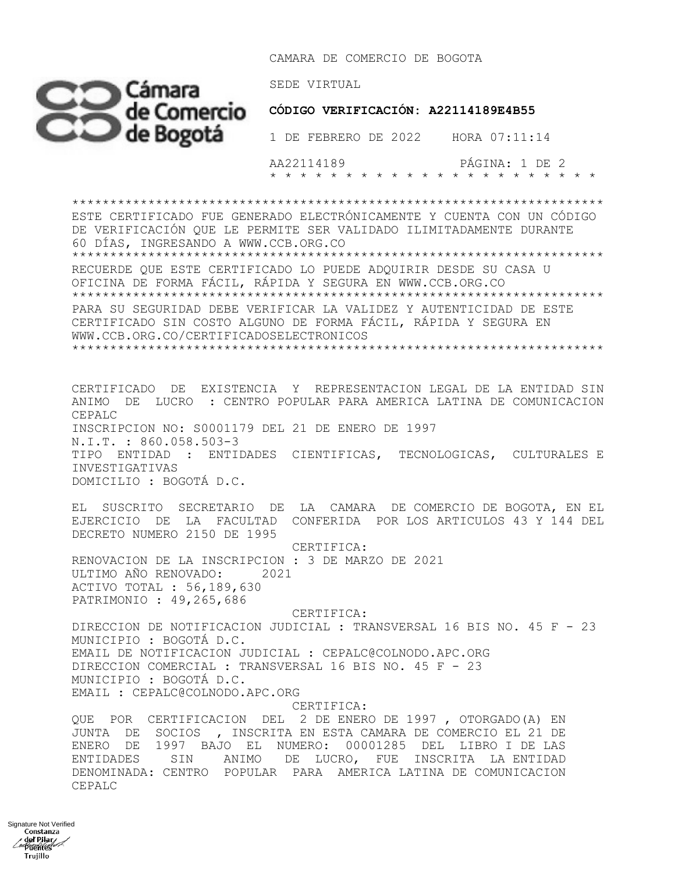CAMARA DE COMERCIO DE BOGOTA



 AA22114189 PÁGINA: 1 DE 2 \* \* \* \* \* \* \* \* \* \* \* \* \* \* \* \* \* \* \* \* \* \*

\*\*\*\*\*\*\*\*\*\*\*\*\*\*\*\*\*\*\*\*\*\*\*\*\*\*\*\*\*\*\*\*\*\*\*\*\*\*\*\*\*\*\*\*\*\*\*\*\*\*\*\*\*\*\*\*\*\*\*\*\*\*\*\*\*\*\*\*\*\* ESTE CERTIFICADO FUE GENERADO ELECTRÓNICAMENTE Y CUENTA CON UN CÓDIGO DE VERIFICACIÓN QUE LE PERMITE SER VALIDADO ILIMITADAMENTE DURANTE 60 DÍAS, INGRESANDO A WWW.CCB.ORG.CO \*\*\*\*\*\*\*\*\*\*\*\*\*\*\*\*\*\*\*\*\*\*\*\*\*\*\*\*\*\*\*\*\*\*\*\*\*\*\*\*\*\*\*\*\*\*\*\*\*\*\*\*\*\*\*\*\*\*\*\*\*\*\*\*\*\*\*\*\*\* RECUERDE QUE ESTE CERTIFICADO LO PUEDE ADQUIRIR DESDE SU CASA U OFICINA DE FORMA FÁCIL, RÁPIDA Y SEGURA EN WWW.CCB.ORG.CO \*\*\*\*\*\*\*\*\*\*\*\*\*\*\*\*\*\*\*\*\*\*\*\*\*\*\*\*\*\*\*\*\*\*\*\*\*\*\*\*\*\*\*\*\*\*\*\*\*\*\*\*\*\*\*\*\*\*\*\*\*\*\*\*\*\*\*\*\*\* PARA SU SEGURIDAD DEBE VERIFICAR LA VALIDEZ Y AUTENTICIDAD DE ESTE CERTIFICADO SIN COSTO ALGUNO DE FORMA FÁCIL, RÁPIDA Y SEGURA EN WWW.CCB.ORG.CO/CERTIFICADOSELECTRONICOS \*\*\*\*\*\*\*\*\*\*\*\*\*\*\*\*\*\*\*\*\*\*\*\*\*\*\*\*\*\*\*\*\*\*\*\*\*\*\*\*\*\*\*\*\*\*\*\*\*\*\*\*\*\*\*\*\*\*\*\*\*\*\*\*\*\*\*\*\*\* CERTIFICADO DE EXISTENCIA Y REPRESENTACION LEGAL DE LA ENTIDAD SIN ANIMO DE LUCRO : CENTRO POPULAR PARA AMERICA LATINA DE COMUNICACION CEPALC INSCRIPCION NO: S0001179 DEL 21 DE ENERO DE 1997 N.I.T. : 860.058.503-3 TIPO ENTIDAD : ENTIDADES CIENTIFICAS, TECNOLOGICAS, CULTURALES E INVESTIGATIVAS DOMICILIO : BOGOTÁ D.C. EL SUSCRITO SECRETARIO DE LA CAMARA DE COMERCIO DE BOGOTA, EN EL EJERCICIO DE LA FACULTAD CONFERIDA POR LOS ARTICULOS 43 Y 144 DEL DECRETO NUMERO 2150 DE 1995 CERTIFICA: RENOVACION DE LA INSCRIPCION : 3 DE MARZO DE 2021 ULTIMO AÑO RENOVADO: 2021 ACTIVO TOTAL : 56,189,630 PATRIMONIO : 49,265,686 CERTIFICA: DIRECCION DE NOTIFICACION JUDICIAL : TRANSVERSAL 16 BIS NO. 45 F - 23

MUNICIPIO : BOGOTÁ D.C. EMAIL DE NOTIFICACION JUDICIAL : CEPALC@COLNODO.APC.ORG DIRECCION COMERCIAL : TRANSVERSAL 16 BIS NO. 45 F - 23 MUNICIPIO : BOGOTÁ D.C. EMAIL : CEPALC@COLNODO.APC.ORG

 CERTIFICA: QUE POR CERTIFICACION DEL 2 DE ENERO DE 1997 , OTORGADO(A) EN JUNTA DE SOCIOS , INSCRITA EN ESTA CAMARA DE COMERCIO EL 21 DE ENERO DE 1997 BAJO EL NUMERO: 00001285 DEL LIBRO I DE LAS ENTIDADES SIN ANIMO DE LUCRO, FUE INSCRITA LA ENTIDAD DENOMINADA: CENTRO POPULAR PARA AMERICA LATINA DE COMUNICACION CEPALC

Signature Not Verifieddel Pilar Henry Keep Trujillo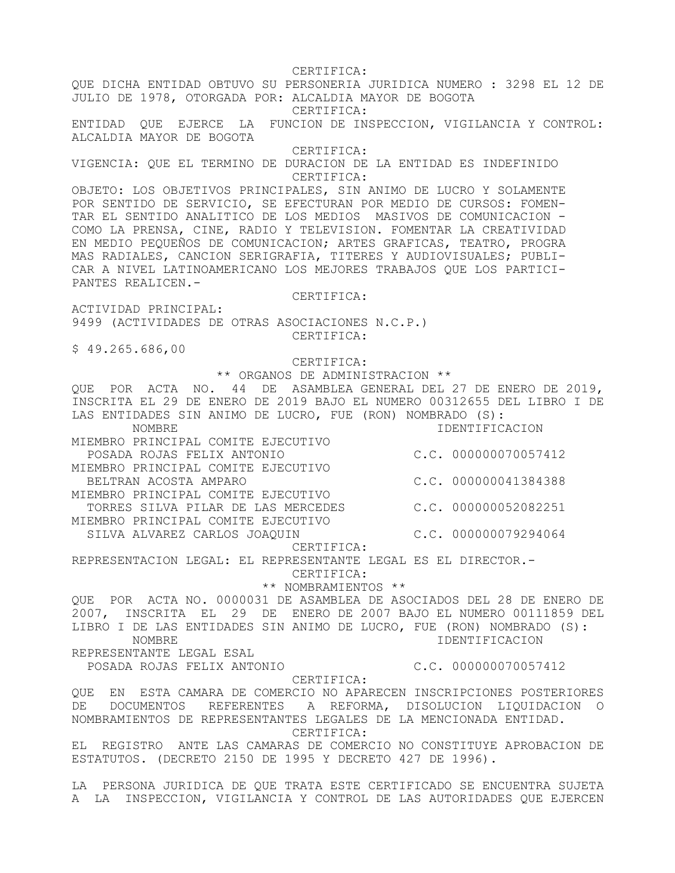CERTIFICA: QUE DICHA ENTIDAD OBTUVO SU PERSONERIA JURIDICA NUMERO : 3298 EL 12 DE JULIO DE 1978, OTORGADA POR: ALCALDIA MAYOR DE BOGOTA CERTIFICA: ENTIDAD QUE EJERCE LA FUNCION DE INSPECCION, VIGILANCIA Y CONTROL: ALCALDIA MAYOR DE BOGOTA CERTIFICA: VIGENCIA: QUE EL TERMINO DE DURACION DE LA ENTIDAD ES INDEFINIDO CERTIFICA: OBJETO: LOS OBJETIVOS PRINCIPALES, SIN ANIMO DE LUCRO Y SOLAMENTE POR SENTIDO DE SERVICIO, SE EFECTURAN POR MEDIO DE CURSOS: FOMEN-TAR EL SENTIDO ANALITICO DE LOS MEDIOS MASIVOS DE COMUNICACION - COMO LA PRENSA, CINE, RADIO Y TELEVISION. FOMENTAR LA CREATIVIDAD EN MEDIO PEQUEÑOS DE COMUNICACION; ARTES GRAFICAS, TEATRO, PROGRA MAS RADIALES, CANCION SERIGRAFIA, TITERES Y AUDIOVISUALES; PUBLI-CAR A NIVEL LATINOAMERICANO LOS MEJORES TRABAJOS QUE LOS PARTICI-PANTES REALICEN.- CERTIFICA: ACTIVIDAD PRINCIPAL: 9499 (ACTIVIDADES DE OTRAS ASOCIACIONES N.C.P.) CERTIFICA: \$ 49.265.686,00 CERTIFICA: \*\* ORGANOS DE ADMINISTRACION \*\* QUE POR ACTA NO. 44 DE ASAMBLEA GENERAL DEL 27 DE ENERO DE 2019, INSCRITA EL 29 DE ENERO DE 2019 BAJO EL NUMERO 00312655 DEL LIBRO I DE LAS ENTIDADES SIN ANIMO DE LUCRO, FUE (RON) NOMBRADO (S): NOMBRE IDENTIFICACION MIEMBRO PRINCIPAL COMITE EJECUTIVO POSADA ROJAS FELIX ANTONIO C.C. 000000070057412 MIEMBRO PRINCIPAL COMITE EJECUTIVO BELTRAN ACOSTA AMPARO C.C. 000000041384388 MIEMBRO PRINCIPAL COMITE EJECUTIVO TORRES SILVA PILAR DE LAS MERCEDES C.C. 000000052082251 MIEMBRO PRINCIPAL COMITE EJECUTIVO SILVA ALVAREZ CARLOS JOAQUIN C.C. 000000079294064 CERTIFICA: REPRESENTACION LEGAL: EL REPRESENTANTE LEGAL ES EL DIRECTOR.- CERTIFICA: \*\* NOMBRAMIENTOS \*\* QUE POR ACTA NO. 0000031 DE ASAMBLEA DE ASOCIADOS DEL 28 DE ENERO DE 2007, INSCRITA EL 29 DE ENERO DE 2007 BAJO EL NUMERO 00111859 DEL LIBRO I DE LAS ENTIDADES SIN ANIMO DE LUCRO, FUE (RON) NOMBRADO (S): NOMBRE IDENTIFICACION REPRESENTANTE LEGAL ESAL POSADA ROJAS FELIX ANTONIO C.C. 000000070057412 CERTIFICA: QUE EN ESTA CAMARA DE COMERCIO NO APARECEN INSCRIPCIONES POSTERIORES DE DOCUMENTOS REFERENTES A REFORMA, DISOLUCION LIQUIDACION O NOMBRAMIENTOS DE REPRESENTANTES LEGALES DE LA MENCIONADA ENTIDAD. CERTIFICA: EL REGISTRO ANTE LAS CAMARAS DE COMERCIO NO CONSTITUYE APROBACION DE ESTATUTOS. (DECRETO 2150 DE 1995 Y DECRETO 427 DE 1996). LA PERSONA JURIDICA DE QUE TRATA ESTE CERTIFICADO SE ENCUENTRA SUJETA A LA INSPECCION, VIGILANCIA Y CONTROL DE LAS AUTORIDADES QUE EJERCEN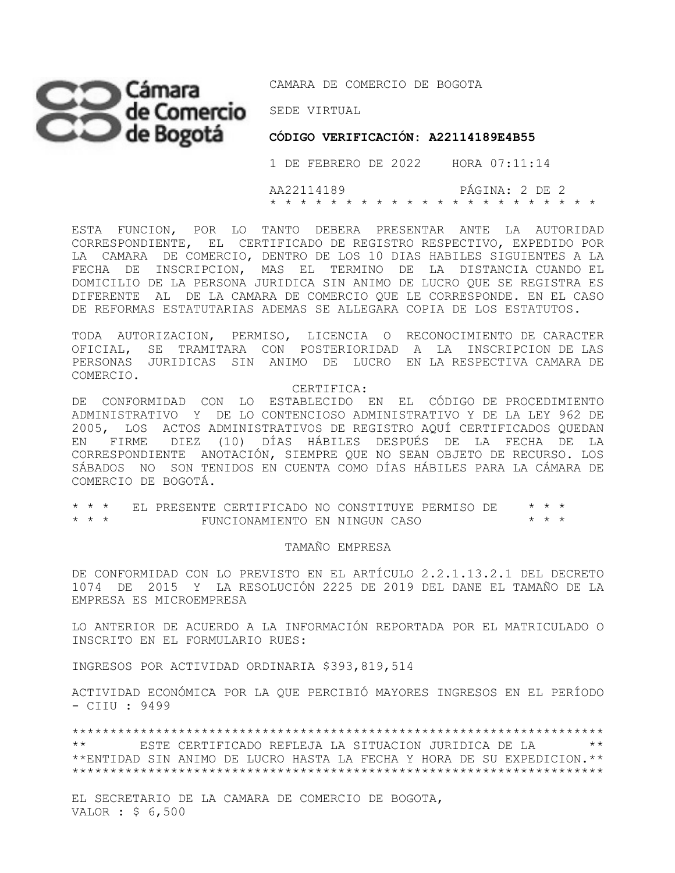## Cámara DE COMERCIO DE BOGOTA SEDE VIRTUAL

**CÓDIGO VERIFICACIÓN: A22114189E4B55** 

 1 DE FEBRERO DE 2022 HORA 07:11:14 AA22114189 PÁGINA: 2 DE 2 \* \* \* \* \* \* \* \* \* \* \* \* \* \* \* \* \* \* \* \* \* \*

ESTA FUNCION, POR LO TANTO DEBERA PRESENTAR ANTE LA AUTORIDAD CORRESPONDIENTE, EL CERTIFICADO DE REGISTRO RESPECTIVO, EXPEDIDO POR LA CAMARA DE COMERCIO, DENTRO DE LOS 10 DIAS HABILES SIGUIENTES A LA FECHA DE INSCRIPCION, MAS EL TERMINO DE LA DISTANCIA CUANDO EL DOMICILIO DE LA PERSONA JURIDICA SIN ANIMO DE LUCRO QUE SE REGISTRA ES DIFERENTE AL DE LA CAMARA DE COMERCIO QUE LE CORRESPONDE. EN EL CASO DE REFORMAS ESTATUTARIAS ADEMAS SE ALLEGARA COPIA DE LOS ESTATUTOS.

TODA AUTORIZACION, PERMISO, LICENCIA O RECONOCIMIENTO DE CARACTER OFICIAL, SE TRAMITARA CON POSTERIORIDAD A LA INSCRIPCION DE LAS PERSONAS JURIDICAS SIN ANIMO DE LUCRO EN LA RESPECTIVA CAMARA DE COMERCIO.

CERTIFICA:

DE CONFORMIDAD CON LO ESTABLECIDO EN EL CÓDIGO DE PROCEDIMIENTO ADMINISTRATIVO Y DE LO CONTENCIOSO ADMINISTRATIVO Y DE LA LEY 962 DE 2005, LOS ACTOS ADMINISTRATIVOS DE REGISTRO AQUÍ CERTIFICADOS QUEDAN EN FIRME DIEZ (10) DÍAS HÁBILES DESPUÉS DE LA FECHA DE LA CORRESPONDIENTE ANOTACIÓN, SIEMPRE QUE NO SEAN OBJETO DE RECURSO. LOS SÁBADOS NO SON TENIDOS EN CUENTA COMO DÍAS HÁBILES PARA LA CÁMARA DE COMERCIO DE BOGOTÁ.

\* \* \* EL PRESENTE CERTIFICADO NO CONSTITUYE PERMISO DE \* \* \*  $FUNCIONAMIENTO$  EN NINGUN CASO

## TAMAÑO EMPRESA

DE CONFORMIDAD CON LO PREVISTO EN EL ARTÍCULO 2.2.1.13.2.1 DEL DECRETO 1074 DE 2015 Y LA RESOLUCIÓN 2225 DE 2019 DEL DANE EL TAMAÑO DE LA EMPRESA ES MICROEMPRESA

LO ANTERIOR DE ACUERDO A LA INFORMACIÓN REPORTADA POR EL MATRICULADO O INSCRITO EN EL FORMULARIO RUES:

INGRESOS POR ACTIVIDAD ORDINARIA \$393,819,514

ACTIVIDAD ECONÓMICA POR LA QUE PERCIBIÓ MAYORES INGRESOS EN EL PERÍODO - CIIU : 9499

\*\*\*\*\*\*\*\*\*\*\*\*\*\*\*\*\*\*\*\*\*\*\*\*\*\*\*\*\*\*\*\*\*\*\*\*\*\*\*\*\*\*\*\*\*\*\*\*\*\*\*\*\*\*\*\*\*\*\*\*\*\*\*\*\*\*\*\*\*\* \*\* ESTE CERTIFICADO REFLEJA LA SITUACION JURIDICA DE LA \*\* \*\*ENTIDAD SIN ANIMO DE LUCRO HASTA LA FECHA Y HORA DE SU EXPEDICION.\*\* \*\*\*\*\*\*\*\*\*\*\*\*\*\*\*\*\*\*\*\*\*\*\*\*\*\*\*\*\*\*\*\*\*\*\*\*\*\*\*\*\*\*\*\*\*\*\*\*\*\*\*\*\*\*\*\*\*\*\*\*\*\*\*\*\*\*\*\*\*\*

EL SECRETARIO DE LA CAMARA DE COMERCIO DE BOGOTA, VALOR : \$ 6,500